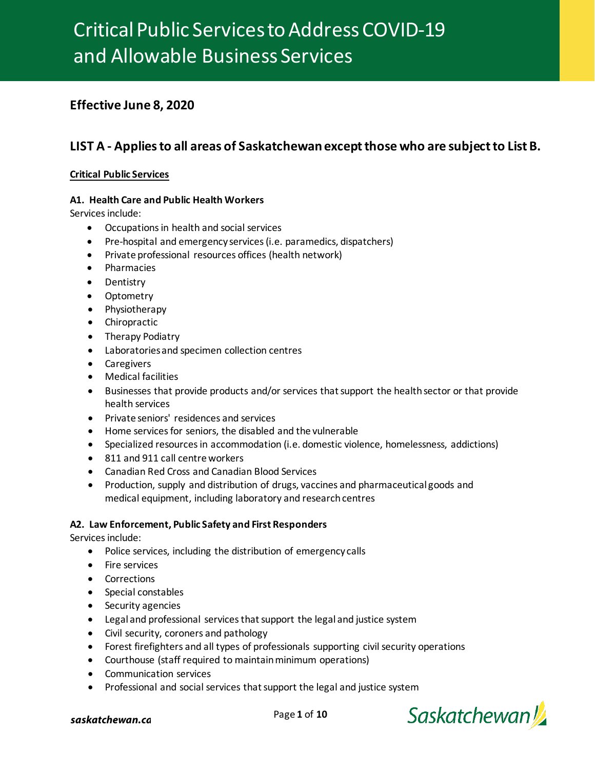# Critical Public Services to Address COVID-19 and Allowable Business Services

# **Effective June 8, 2020**

# LIST A - Applies to all areas of Saskatchewan except those who are subject to List B.

## **Critical Public Services**

### **A1. Health Care and Public Health Workers**

Services include:

- Occupations in health and social services
- Pre-hospital and emergency services (i.e. paramedics, dispatchers)
- Private professional resources offices (health network)
- Pharmacies
- Dentistry
- Optometry
- Physiotherapy
- Chiropractic
- Therapy Podiatry
- Laboratories and specimen collection centres
- Caregivers
- Medical facilities
- Businesses that provide products and/or services that support the health sector or that provide health services
- Private seniors' residences and services
- Home services for seniors, the disabled and the vulnerable
- Specialized resources in accommodation (i.e. domestic violence, homelessness, addictions)
- 811 and 911 call centre workers
- Canadian Red Cross and Canadian Blood Services
- Production, supply and distribution of drugs, vaccines and pharmaceutical goods and medical equipment, including laboratory and research centres

### **A2. Law Enforcement, Public Safety and First Responders**

- Police services, including the distribution of emergency calls
- Fire services
- Corrections
- Special constables
- Security agencies
- Legal and professional services that support the legal and justice system
- Civil security, coroners and pathology
- Forest firefighters and all types of professionals supporting civil security operations
- Courthouse (staff required to maintain minimum operations)
- Communication services
- Professional and social services that support the legal and justice system

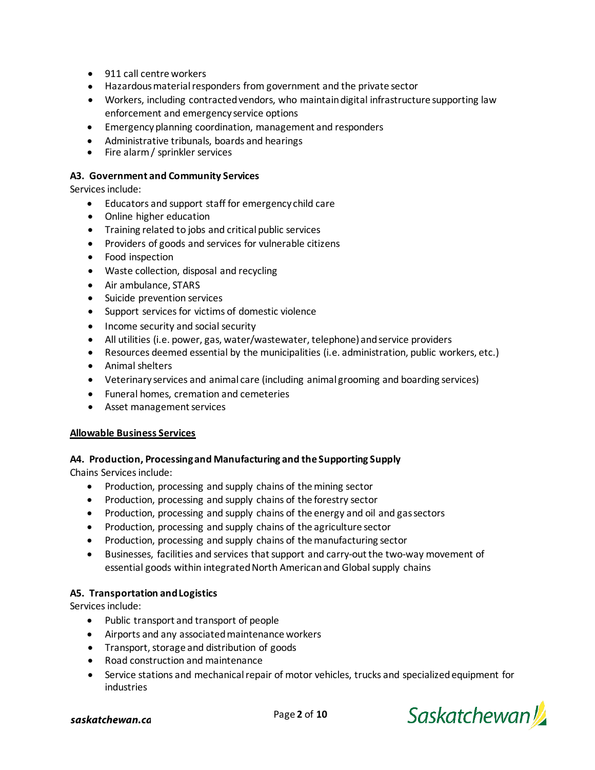- 911 call centre workers
- Hazardous material responders from government and the private sector
- Workers, including contracted vendors, who maintain digital infrastructure supporting law enforcement and emergency service options
- Emergency planning coordination, management and responders
- Administrative tribunals, boards and hearings
- Fire alarm / sprinkler services

### **A3. Government and Community Services**

Services include:

- Educators and support staff for emergency child care
- Online higher education
- Training related to jobs and critical public services
- Providers of goods and services for vulnerable citizens
- Food inspection
- Waste collection, disposal and recycling
- Air ambulance, STARS
- Suicide prevention services
- Support services for victims of domestic violence
- Income security and social security
- All utilities (i.e. power, gas, water/wastewater, telephone) and service providers
- Resources deemed essential by the municipalities (i.e. administration, public workers, etc.)
- Animal shelters
- Veterinary services and animal care (including animal grooming and boarding services)
- Funeral homes, cremation and cemeteries
- Asset management services

### **Allowable Business Services**

### **A4. Production, Processing and Manufacturing and the Supporting Supply**

Chains Services include:

- Production, processing and supply chains of the mining sector
- Production, processing and supply chains of the forestry sector
- Production, processing and supply chains of the energy and oil and gassectors
- Production, processing and supply chains of the agriculture sector
- Production, processing and supply chains of the manufacturing sector
- Businesses, facilities and services that support and carry-out the two-way movement of essential goods within integrated North American and Global supply chains

### **A5. Transportation and Logistics**

- Public transport and transport of people
- Airports and any associated maintenance workers
- Transport, storage and distribution of goods
- Road construction and maintenance
- Service stations and mechanical repair of motor vehicles, trucks and specialized equipment for industries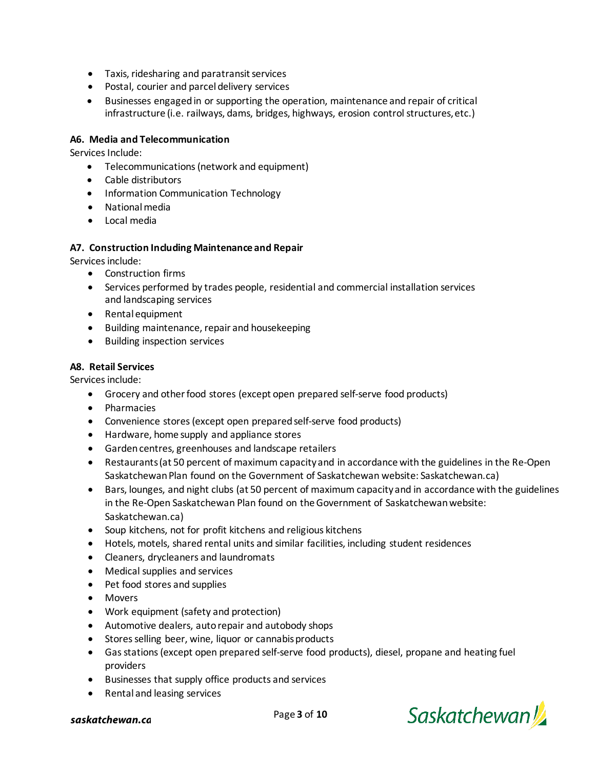- Taxis, ridesharing and paratransit services
- Postal, courier and parcel delivery services
- Businesses engaged in or supporting the operation, maintenance and repair of critical infrastructure (i.e. railways, dams, bridges, highways, erosion control structures,etc.)

### **A6. Media and Telecommunication**

Services Include:

- Telecommunications (network and equipment)
- Cable distributors
- Information Communication Technology
- Nationalmedia
- Local media

### **A7. Construction Including Maintenance and Repair**

Services include:

- Construction firms
- Services performed by trades people, residential and commercial installation services and landscaping services
- Rental equipment
- Building maintenance, repair and housekeeping
- Building inspection services

### **A8. Retail Services**

- Grocery and other food stores (except open prepared self-serve food products)
- Pharmacies
- Convenience stores (except open prepared self-serve food products)
- Hardware, home supply and appliance stores
- Garden centres, greenhouses and landscape retailers
- Restaurants (at 50 percent of maximum capacity and in accordance with the guidelines in the Re-Open Saskatchewan Plan found on the Government of Saskatchewan website: Saskatchewan.ca)
- Bars, lounges, and night clubs (at 50 percent of maximum capacity and in accordance with the guidelines in the Re-Open Saskatchewan Plan found on the Government of Saskatchewan website: Saskatchewan.ca)
- Soup kitchens, not for profit kitchens and religious kitchens
- Hotels, motels, shared rental units and similar facilities, including student residences
- Cleaners, drycleaners and laundromats
- Medical supplies and services
- Pet food stores and supplies
- Movers
- Work equipment (safety and protection)
- Automotive dealers, auto repair and autobody shops
- Stores selling beer, wine, liquor or cannabis products
- Gas stations (except open prepared self-serve food products), diesel, propane and heating fuel providers
- Businesses that supply office products and services
- Rental and leasing services



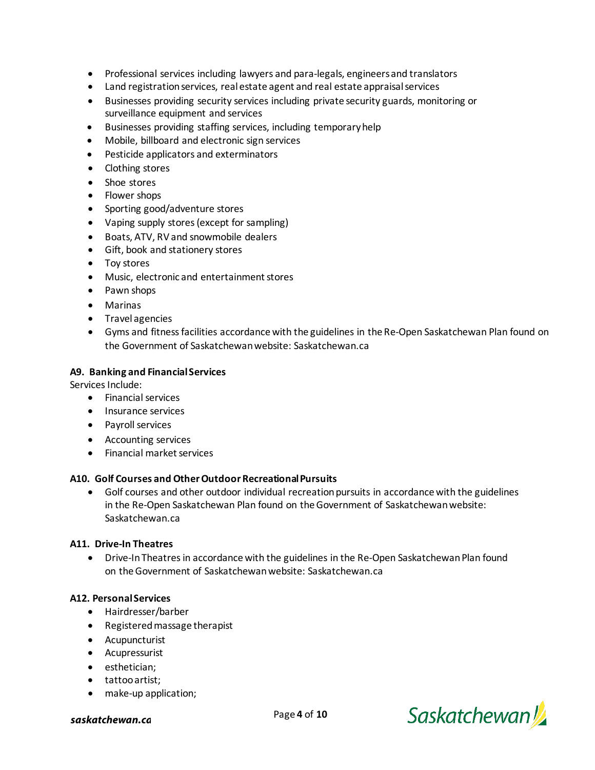- Professional services including lawyers and para-legals, engineers and translators
- Land registration services, real estate agent and real estate appraisal services
- Businesses providing security services including private security guards, monitoring or surveillance equipment and services
- Businesses providing staffing services, including temporaryhelp
- Mobile, billboard and electronic sign services
- Pesticide applicators and exterminators
- Clothing stores
- Shoe stores
- Flower shops
- Sporting good/adventure stores
- Vaping supply stores (except for sampling)
- Boats, ATV, RV and snowmobile dealers
- Gift, book and stationery stores
- Toy stores
- Music, electronic and entertainment stores
- Pawn shops
- Marinas
- Travel agencies
- Gyms and fitness facilities accordance with the guidelines in the Re-Open Saskatchewan Plan found on the Government of Saskatchewan website: Saskatchewan.ca

### **A9. Banking and Financial Services**

Services Include:

- Financial services
- Insurance services
- Payroll services
- Accounting services
- Financial market services

### **A10. Golf Courses and Other Outdoor Recreational Pursuits**

• Golf courses and other outdoor individual recreation pursuits in accordance with the guidelines in the Re-Open Saskatchewan Plan found on the Government of Saskatchewan website: Saskatchewan.ca

### **A11. Drive-In Theatres**

• Drive-In Theatres in accordance with the guidelines in the Re-Open Saskatchewan Plan found on the Government of Saskatchewan website: Saskatchewan.ca

### **A12. Personal Services**

- Hairdresser/barber
- Registered massage therapist
- Acupuncturist
- Acupressurist
- esthetician;
- tattoo artist;
- make-up application;

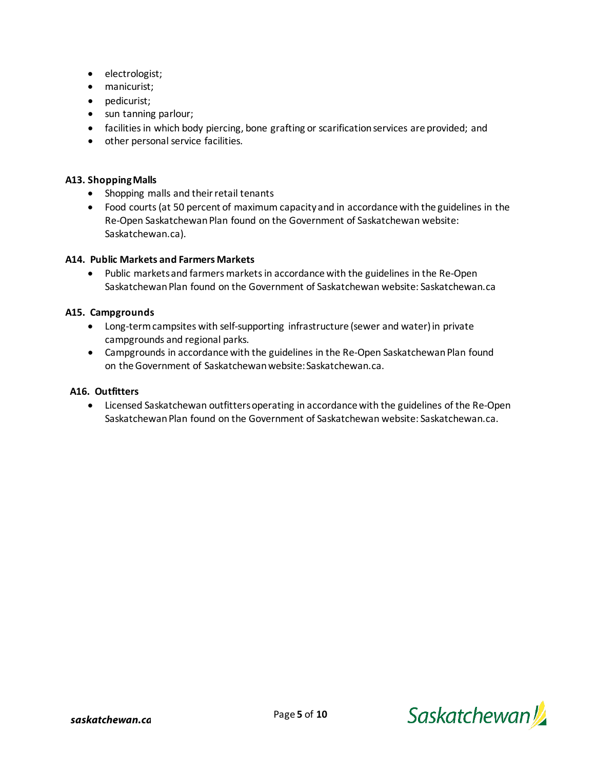- electrologist;
- manicurist;
- pedicurist;
- sun tanning parlour;
- facilities in which body piercing, bone grafting or scarification services are provided; and
- other personal service facilities.

### **A13. Shopping Malls**

- Shopping malls and their retail tenants
- Food courts (at 50 percent of maximum capacity and in accordance with the guidelines in the Re-Open Saskatchewan Plan found on the Government of Saskatchewan website: Saskatchewan.ca).

### **A14. Public Markets and Farmers Markets**

• Public markets and farmers markets in accordance with the guidelines in the Re-Open Saskatchewan Plan found on the Government of Saskatchewan website: Saskatchewan.ca

### **A15. Campgrounds**

- Long-term campsites with self-supporting infrastructure (sewer and water) in private campgrounds and regional parks.
- Campgrounds in accordance with the guidelines in the Re-Open Saskatchewan Plan found on the Government of Saskatchewan website:Saskatchewan.ca.

#### **A16. Outfitters**

• Licensed Saskatchewan outfitters operating in accordance with the guidelines of the Re-Open Saskatchewan Plan found on the Government of Saskatchewan website: Saskatchewan.ca.

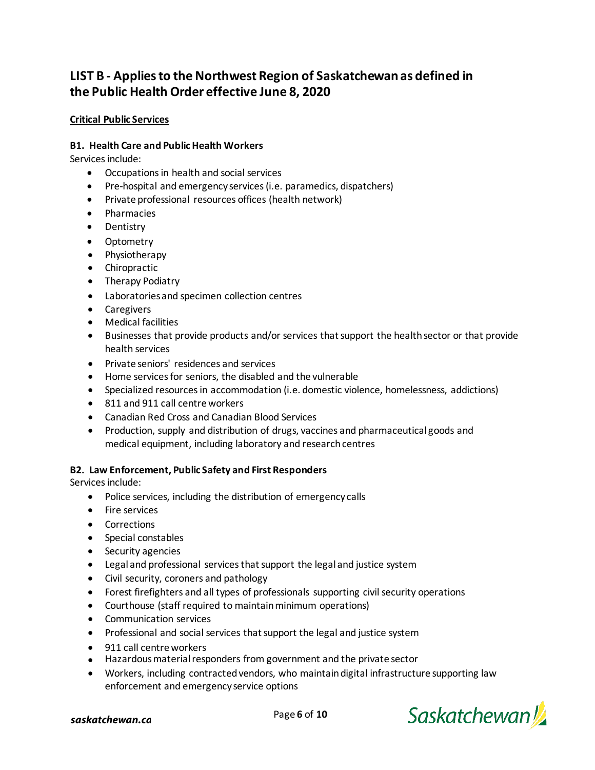# **LIST B - Applies to the Northwest Region of Saskatchewan as defined in the Public Health Order effective June 8, 2020**

## **Critical Public Services**

### **B1. Health Care and Public Health Workers**

Services include:

- Occupations in health and social services
- Pre-hospital and emergency services (i.e. paramedics, dispatchers)
- Private professional resources offices (health network)
- Pharmacies
- Dentistry
- Optometry
- Physiotherapy
- Chiropractic
- Therapy Podiatry
- Laboratories and specimen collection centres
- Caregivers
- Medical facilities
- Businesses that provide products and/or services that support the health sector or that provide health services
- Private seniors' residences and services
- Home services for seniors, the disabled and the vulnerable
- Specialized resources in accommodation (i.e. domestic violence, homelessness, addictions)
- 811 and 911 call centre workers
- Canadian Red Cross and Canadian Blood Services
- Production, supply and distribution of drugs, vaccines and pharmaceutical goods and medical equipment, including laboratory and research centres

### **B2. Law Enforcement, Public Safety and First Responders**

- Police services, including the distribution of emergency calls
- Fire services
- Corrections
- Special constables
- Security agencies
- Legal and professional services that support the legal and justice system
- Civil security, coroners and pathology
- Forest firefighters and all types of professionals supporting civil security operations
- Courthouse (staff required to maintain minimum operations)
- Communication services
- Professional and social services that support the legal and justice system
- 911 call centre workers
- Hazardous material responders from government and the private sector
- Workers, including contracted vendors, who maintain digital infrastructure supporting law enforcement and emergency service options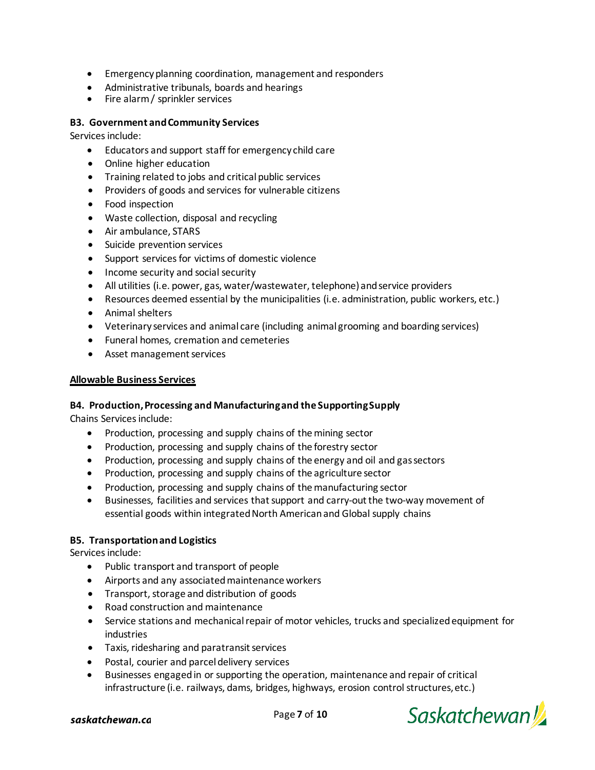- Emergency planning coordination, management and responders
- Administrative tribunals, boards and hearings
- Fire alarm / sprinkler services

### **B3. Government and Community Services**

Services include:

- Educators and support staff for emergency child care
- Online higher education
- Training related to jobs and critical public services
- Providers of goods and services for vulnerable citizens
- Food inspection
- Waste collection, disposal and recycling
- Air ambulance, STARS
- Suicide prevention services
- Support services for victims of domestic violence
- Income security and social security
- All utilities (i.e. power, gas, water/wastewater, telephone) and service providers
- Resources deemed essential by the municipalities (i.e. administration, public workers, etc.)
- Animal shelters
- Veterinary services and animal care (including animal grooming and boarding services)
- Funeral homes, cremation and cemeteries
- Asset management services

### **Allowable Business Services**

### **B4. Production, Processing and Manufacturing and the Supporting Supply**

Chains Services include:

- Production, processing and supply chains of the mining sector
- Production, processing and supply chains of the forestry sector
- Production, processing and supply chains of the energy and oil and gassectors
- Production, processing and supply chains of the agriculture sector
- Production, processing and supply chains of the manufacturing sector
- Businesses, facilities and services that support and carry-out the two-way movement of essential goods within integrated North American and Global supply chains

### **B5. Transportation and Logistics**

- Public transport and transport of people
- Airports and any associated maintenance workers
- Transport, storage and distribution of goods
- Road construction and maintenance
- Service stations and mechanical repair of motor vehicles, trucks and specialized equipment for industries
- Taxis, ridesharing and paratransit services
- Postal, courier and parcel delivery services
- Businesses engaged in or supporting the operation, maintenance and repair of critical infrastructure (i.e. railways, dams, bridges, highways, erosion control structures,etc.)

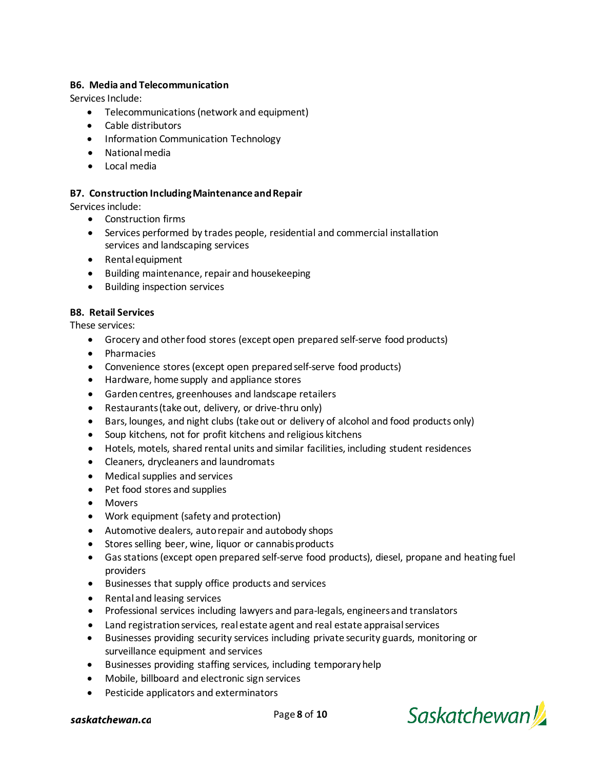### **B6. Media and Telecommunication**

Services Include:

- Telecommunications (network and equipment)
- Cable distributors
- Information Communication Technology
- Nationalmedia
- Local media

### **B7. Construction Including Maintenance and Repair**

Services include:

- Construction firms
- Services performed by trades people, residential and commercial installation services and landscaping services
- Rental equipment
- Building maintenance, repair and housekeeping
- Building inspection services

### **B8. Retail Services**

These services:

- Grocery and other food stores (except open prepared self-serve food products)
- Pharmacies
- Convenience stores (except open prepared self-serve food products)
- Hardware, home supply and appliance stores
- Garden centres, greenhouses and landscape retailers
- Restaurants (take out, delivery, or drive-thru only)
- Bars, lounges, and night clubs (take out or delivery of alcohol and food products only)
- Soup kitchens, not for profit kitchens and religious kitchens
- Hotels, motels, shared rental units and similar facilities, including student residences
- Cleaners, drycleaners and laundromats
- Medical supplies and services
- Pet food stores and supplies
- Movers
- Work equipment (safety and protection)
- Automotive dealers, auto repair and autobody shops
- Stores selling beer, wine, liquor or cannabis products
- Gas stations (except open prepared self-serve food products), diesel, propane and heating fuel providers
- Businesses that supply office products and services
- Rental and leasing services
- Professional services including lawyers and para-legals, engineers and translators
- Land registration services, real estate agent and real estate appraisalservices
- Businesses providing security services including private security guards, monitoring or surveillance equipment and services
- Businesses providing staffing services, including temporaryhelp
- Mobile, billboard and electronic sign services
- Pesticide applicators and exterminators



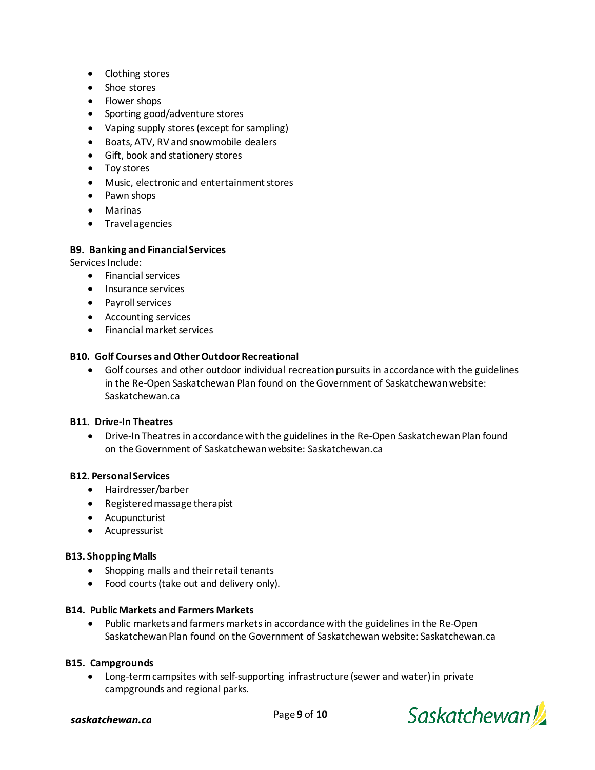- Clothing stores
- Shoe stores
- Flower shops
- Sporting good/adventure stores
- Vaping supply stores (except for sampling)
- Boats, ATV, RV and snowmobile dealers
- Gift, book and stationery stores
- Toy stores
- Music, electronic and entertainment stores
- Pawn shops
- Marinas
- Travel agencies

### **B9. Banking and Financial Services**

Services Include:

- Financial services
- Insurance services
- Payroll services
- Accounting services
- Financial market services

### **B10. Golf Courses and Other Outdoor Recreational**

• Golf courses and other outdoor individual recreation pursuits in accordance with the guidelines in the Re-Open Saskatchewan Plan found on the Government of Saskatchewan website: Saskatchewan.ca

### **B11. Drive-In Theatres**

• Drive-In Theatres in accordance with the guidelines in the Re-Open Saskatchewan Plan found on the Government of Saskatchewan website: Saskatchewan.ca

### **B12. Personal Services**

- Hairdresser/barber
- Registered massage therapist
- Acupuncturist
- Acupressurist

### **B13. Shopping Malls**

- Shopping malls and their retail tenants
- Food courts (take out and delivery only).

#### **B14. Public Markets and Farmers Markets**

• Public markets and farmers markets in accordance with the guidelines in the Re-Open Saskatchewan Plan found on the Government of Saskatchewan website: Saskatchewan.ca

#### **B15. Campgrounds**

• Long-term campsites with self-supporting infrastructure (sewer and water) in private campgrounds and regional parks.